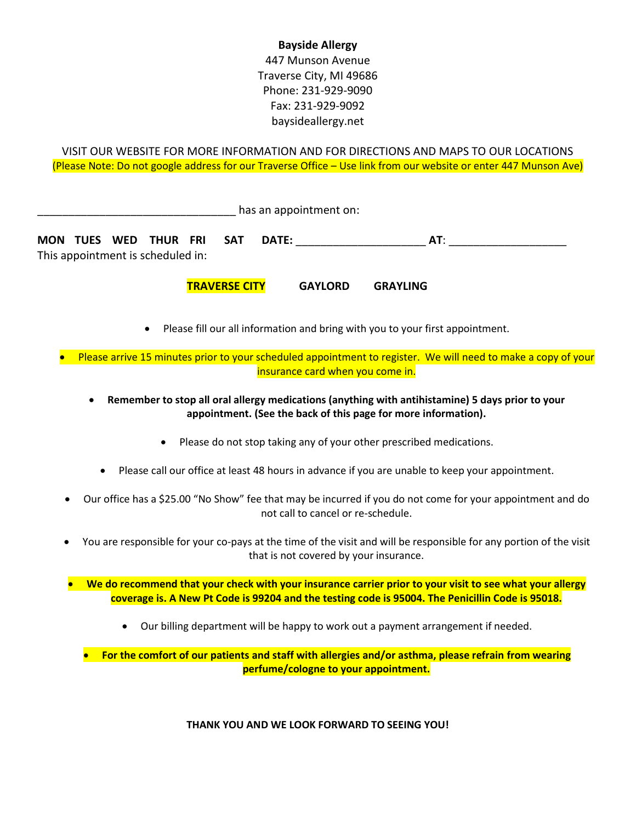## **Bayside Allergy**

447 Munson Avenue Traverse City, MI 49686 Phone: 231-929-9090 Fax: 231-929-9092 baysideallergy.net

VISIT OUR WEBSITE FOR MORE INFORMATION AND FOR DIRECTIONS AND MAPS TO OUR LOCATIONS (Please Note: Do not google address for our Traverse Office – Use link from our website or enter 447 Munson Ave)

\_\_\_\_\_\_\_\_\_\_\_\_\_\_\_\_\_\_\_\_\_\_\_\_\_\_\_\_\_\_\_\_ has an appointment on: **MON TUES WED THUR FRI SAT DATE:** \_\_\_\_\_\_\_\_\_\_\_\_\_\_\_\_\_\_\_\_\_ **AT**: \_\_\_\_\_\_\_\_\_\_\_\_\_\_\_\_\_\_\_ This appointment is scheduled in:

**TRAVERSE CITY GAYLORD GRAYLING**

• Please fill our all information and bring with you to your first appointment.

• Please arrive 15 minutes prior to your scheduled appointment to register. We will need to make a copy of your insurance card when you come in.

• **Remember to stop all oral allergy medications (anything with antihistamine) 5 days prior to your appointment. (See the back of this page for more information).**

- Please do not stop taking any of your other prescribed medications.
- Please call our office at least 48 hours in advance if you are unable to keep your appointment.
- Our office has a \$25.00 "No Show" fee that may be incurred if you do not come for your appointment and do not call to cancel or re-schedule.
- You are responsible for your co-pays at the time of the visit and will be responsible for any portion of the visit that is not covered by your insurance.

• **We do recommend that your check with your insurance carrier prior to your visit to see what your allergy coverage is. A New Pt Code is 99204 and the testing code is 95004. The Penicillin Code is 95018.**

• Our billing department will be happy to work out a payment arrangement if needed.

• **For the comfort of our patients and staff with allergies and/or asthma, please refrain from wearing perfume/cologne to your appointment.**

**THANK YOU AND WE LOOK FORWARD TO SEEING YOU!**